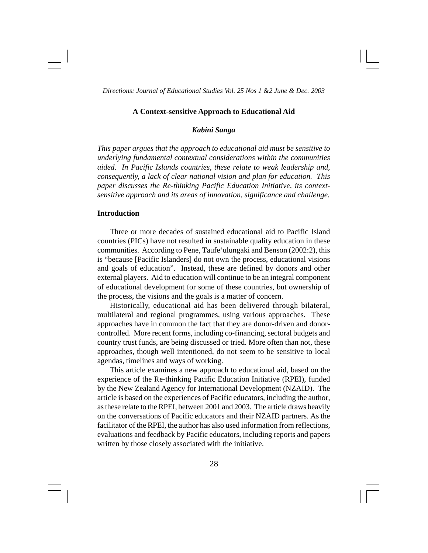#### **A Context-sensitive Approach to Educational Aid**

### *Kabini Sanga*

*This paper argues that the approach to educational aid must be sensitive to underlying fundamental contextual considerations within the communities aided. In Pacific Islands countries, these relate to weak leadership and, consequently, a lack of clear national vision and plan for education. This paper discusses the Re-thinking Pacific Education Initiative, its contextsensitive approach and its areas of innovation, significance and challenge*.

### **Introduction**

Three or more decades of sustained educational aid to Pacific Island countries (PICs) have not resulted in sustainable quality education in these communities. According to Pene, Taufe'ulungaki and Benson (2002:2), this is "because [Pacific Islanders] do not own the process, educational visions and goals of education". Instead, these are defined by donors and other external players. Aid to education will continue to be an integral component of educational development for some of these countries, but ownership of the process, the visions and the goals is a matter of concern.

Historically, educational aid has been delivered through bilateral, multilateral and regional programmes, using various approaches. These approaches have in common the fact that they are donor-driven and donorcontrolled. More recent forms, including co-financing, sectoral budgets and country trust funds, are being discussed or tried. More often than not, these approaches, though well intentioned, do not seem to be sensitive to local agendas, timelines and ways of working.

This article examines a new approach to educational aid, based on the experience of the Re-thinking Pacific Education Initiative (RPEI), funded by the New Zealand Agency for International Development (NZAID). The article is based on the experiences of Pacific educators, including the author, as these relate to the RPEI, between 2001 and 2003. The article draws heavily on the conversations of Pacific educators and their NZAID partners. As the facilitator of the RPEI, the author has also used information from reflections, evaluations and feedback by Pacific educators, including reports and papers written by those closely associated with the initiative.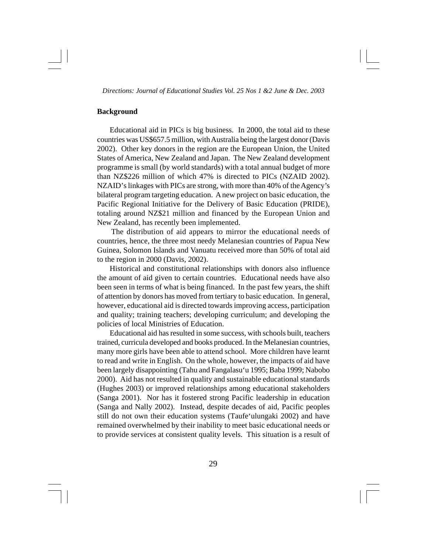### **Background**

Educational aid in PICs is big business. In 2000, the total aid to these countries was US\$657.5 million, with Australia being the largest donor (Davis 2002). Other key donors in the region are the European Union, the United States of America, New Zealand and Japan. The New Zealand development programme is small (by world standards) with a total annual budget of more than NZ\$226 million of which 47% is directed to PICs (NZAID 2002). NZAID's linkages with PICs are strong, with more than 40% of the Agency's bilateral program targeting education. A new project on basic education, the Pacific Regional Initiative for the Delivery of Basic Education (PRIDE), totaling around NZ\$21 million and financed by the European Union and New Zealand, has recently been implemented.

The distribution of aid appears to mirror the educational needs of countries, hence, the three most needy Melanesian countries of Papua New Guinea, Solomon Islands and Vanuatu received more than 50% of total aid to the region in 2000 (Davis, 2002).

Historical and constitutional relationships with donors also influence the amount of aid given to certain countries. Educational needs have also been seen in terms of what is being financed. In the past few years, the shift of attention by donors has moved from tertiary to basic education. In general, however, educational aid is directed towards improving access, participation and quality; training teachers; developing curriculum; and developing the policies of local Ministries of Education.

Educational aid has resulted in some success, with schools built, teachers trained, curricula developed and books produced. In the Melanesian countries, many more girls have been able to attend school. More children have learnt to read and write in English. On the whole, however, the impacts of aid have been largely disappointing (Tahu and Fangalasu'u 1995; Baba 1999; Nabobo 2000). Aid has not resulted in quality and sustainable educational standards (Hughes 2003) or improved relationships among educational stakeholders (Sanga 2001). Nor has it fostered strong Pacific leadership in education (Sanga and Nally 2002). Instead, despite decades of aid, Pacific peoples still do not own their education systems (Taufe'ulungaki 2002) and have remained overwhelmed by their inability to meet basic educational needs or to provide services at consistent quality levels. This situation is a result of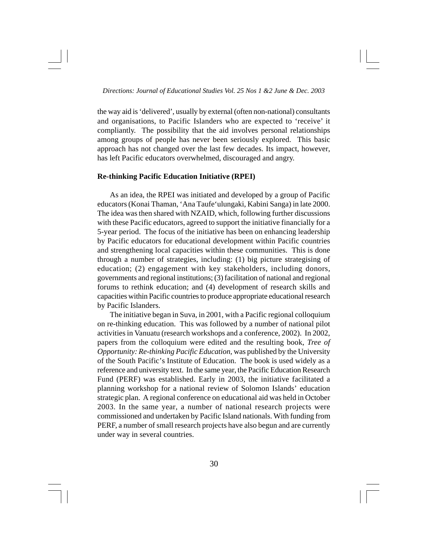the way aid is 'delivered', usually by external (often non-national) consultants and organisations, to Pacific Islanders who are expected to 'receive' it compliantly. The possibility that the aid involves personal relationships among groups of people has never been seriously explored. This basic approach has not changed over the last few decades. Its impact, however, has left Pacific educators overwhelmed, discouraged and angry.

### **Re-thinking Pacific Education Initiative (RPEI)**

As an idea, the RPEI was initiated and developed by a group of Pacific educators (Konai Thaman, 'Ana Taufe'ulungaki, Kabini Sanga) in late 2000. The idea was then shared with NZAID, which, following further discussions with these Pacific educators, agreed to support the initiative financially for a 5-year period. The focus of the initiative has been on enhancing leadership by Pacific educators for educational development within Pacific countries and strengthening local capacities within these communities. This is done through a number of strategies, including: (1) big picture strategising of education; (2) engagement with key stakeholders, including donors, governments and regional institutions; (3) facilitation of national and regional forums to rethink education; and (4) development of research skills and capacities within Pacific countries to produce appropriate educational research by Pacific Islanders.

The initiative began in Suva, in 2001, with a Pacific regional colloquium on re-thinking education. This was followed by a number of national pilot activities in Vanuatu (research workshops and a conference, 2002). In 2002, papers from the colloquium were edited and the resulting book, *Tree of Opportunity: Re-thinking Pacific Education,* was published by the University of the South Pacific's Institute of Education. The book is used widely as a reference and university text. In the same year, the Pacific Education Research Fund (PERF) was established. Early in 2003, the initiative facilitated a planning workshop for a national review of Solomon Islands' education strategic plan. A regional conference on educational aid was held in October 2003. In the same year, a number of national research projects were commissioned and undertaken by Pacific Island nationals. With funding from PERF, a number of small research projects have also begun and are currently under way in several countries.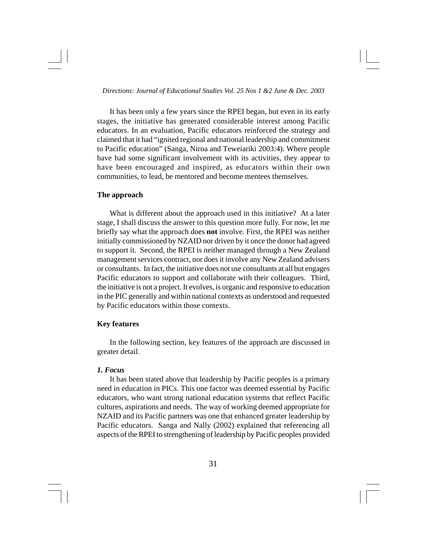It has been only a few years since the RPEI began, but even in its early stages, the initiative has generated considerable interest among Pacific educators. In an evaluation, Pacific educators reinforced the strategy and claimed that it had "ignited regional and national leadership and commitment to Pacific education" (Sanga, Niroa and Teweiariki 2003:4). Where people have had some significant involvement with its activities, they appear to have been encouraged and inspired, as educators within their own communities, to lead, be mentored and become mentees themselves.

### **The approach**

What is different about the approach used in this initiative? At a later stage, I shall discuss the answer to this question more fully. For now, let me briefly say what the approach does **not** involve. First, the RPEI was neither initially commissioned by NZAID nor driven by it once the donor had agreed to support it. Second, the RPEI is neither managed through a New Zealand management services contract, nor does it involve any New Zealand advisers or consultants. In fact, the initiative does not use consultants at all but engages Pacific educators to support and collaborate with their colleagues. Third, the initiative is not a project. It evolves, is organic and responsive to education in the PIC generally and within national contexts as understood and requested by Pacific educators within those contexts.

#### **Key features**

In the following section, key features of the approach are discussed in greater detail.

### *1. Focus*

It has been stated above that leadership by Pacific peoples is a primary need in education in PICs. This one factor was deemed essential by Pacific educators, who want strong national education systems that reflect Pacific cultures, aspirations and needs. The way of working deemed appropriate for NZAID and its Pacific partners was one that enhanced greater leadership by Pacific educators. Sanga and Nally (2002) explained that referencing all aspects of the RPEI to strengthening of leadership by Pacific peoples provided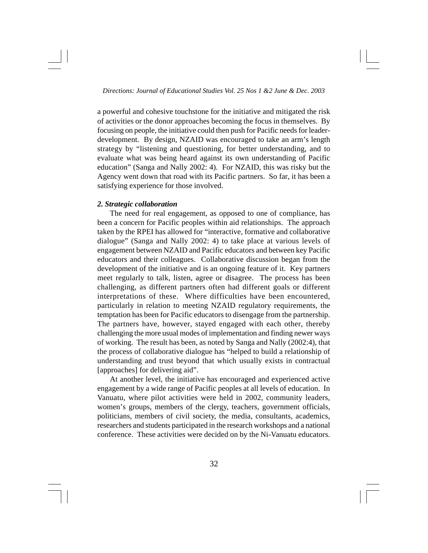a powerful and cohesive touchstone for the initiative and mitigated the risk of activities or the donor approaches becoming the focus in themselves. By focusing on people, the initiative could then push for Pacific needs for leaderdevelopment. By design, NZAID was encouraged to take an arm's length strategy by "listening and questioning, for better understanding, and to evaluate what was being heard against its own understanding of Pacific education" (Sanga and Nally 2002: 4). For NZAID, this was risky but the Agency went down that road with its Pacific partners. So far, it has been a satisfying experience for those involved.

### *2. Strategic collaboration*

The need for real engagement, as opposed to one of compliance, has been a concern for Pacific peoples within aid relationships. The approach taken by the RPEI has allowed for "interactive, formative and collaborative dialogue" (Sanga and Nally 2002: 4) to take place at various levels of engagement between NZAID and Pacific educators and between key Pacific educators and their colleagues. Collaborative discussion began from the development of the initiative and is an ongoing feature of it. Key partners meet regularly to talk, listen, agree or disagree. The process has been challenging, as different partners often had different goals or different interpretations of these. Where difficulties have been encountered, particularly in relation to meeting NZAID regulatory requirements, the temptation has been for Pacific educators to disengage from the partnership. The partners have, however, stayed engaged with each other, thereby challenging the more usual modes of implementation and finding newer ways of working. The result has been, as noted by Sanga and Nally (2002:4), that the process of collaborative dialogue has "helped to build a relationship of understanding and trust beyond that which usually exists in contractual [approaches] for delivering aid".

At another level, the initiative has encouraged and experienced active engagement by a wide range of Pacific peoples at all levels of education. In Vanuatu, where pilot activities were held in 2002, community leaders, women's groups, members of the clergy, teachers, government officials, politicians, members of civil society, the media, consultants, academics, researchers and students participated in the research workshops and a national conference. These activities were decided on by the Ni-Vanuatu educators.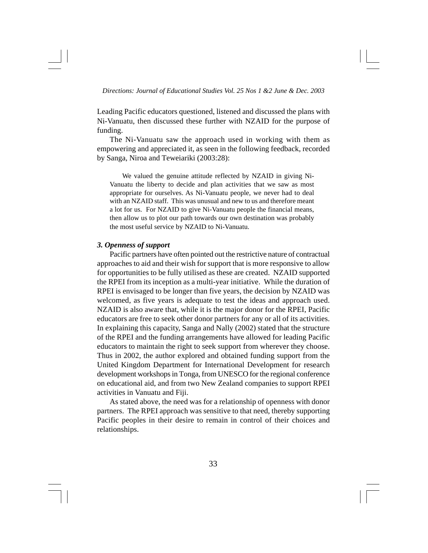Leading Pacific educators questioned, listened and discussed the plans with Ni-Vanuatu, then discussed these further with NZAID for the purpose of funding.

The Ni-Vanuatu saw the approach used in working with them as empowering and appreciated it, as seen in the following feedback, recorded by Sanga, Niroa and Teweiariki (2003:28):

We valued the genuine attitude reflected by NZAID in giving Ni-Vanuatu the liberty to decide and plan activities that we saw as most appropriate for ourselves. As Ni-Vanuatu people, we never had to deal with an NZAID staff. This was unusual and new to us and therefore meant a lot for us. For NZAID to give Ni-Vanuatu people the financial means, then allow us to plot our path towards our own destination was probably the most useful service by NZAID to Ni-Vanuatu.

## *3. Openness of support*

Pacific partners have often pointed out the restrictive nature of contractual approaches to aid and their wish for support that is more responsive to allow for opportunities to be fully utilised as these are created. NZAID supported the RPEI from its inception as a multi-year initiative. While the duration of RPEI is envisaged to be longer than five years, the decision by NZAID was welcomed, as five years is adequate to test the ideas and approach used. NZAID is also aware that, while it is the major donor for the RPEI, Pacific educators are free to seek other donor partners for any or all of its activities. In explaining this capacity, Sanga and Nally (2002) stated that the structure of the RPEI and the funding arrangements have allowed for leading Pacific educators to maintain the right to seek support from wherever they choose. Thus in 2002, the author explored and obtained funding support from the United Kingdom Department for International Development for research development workshops in Tonga, from UNESCO for the regional conference on educational aid, and from two New Zealand companies to support RPEI activities in Vanuatu and Fiji.

As stated above, the need was for a relationship of openness with donor partners. The RPEI approach was sensitive to that need, thereby supporting Pacific peoples in their desire to remain in control of their choices and relationships.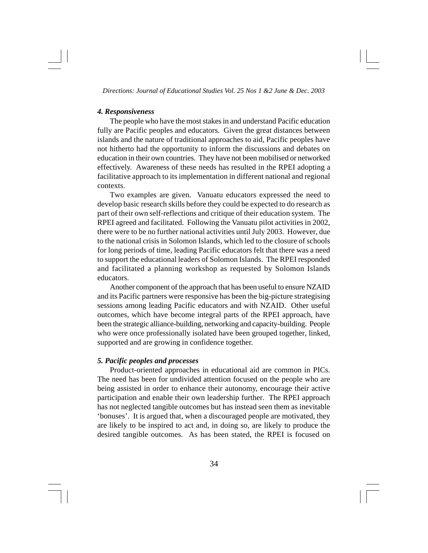#### *4. Responsiveness*

The people who have the most stakes in and understand Pacific education fully are Pacific peoples and educators. Given the great distances between islands and the nature of traditional approaches to aid, Pacific peoples have not hitherto had the opportunity to inform the discussions and debates on education in their own countries. They have not been mobilised or networked effectively. Awareness of these needs has resulted in the RPEI adopting a facilitative approach to its implementation in different national and regional contexts.

Two examples are given. Vanuatu educators expressed the need to develop basic research skills before they could be expected to do research as part of their own self-reflections and critique of their education system. The RPEI agreed and facilitated. Following the Vanuatu pilot activities in 2002, there were to be no further national activities until July 2003. However, due to the national crisis in Solomon Islands, which led to the closure of schools for long periods of time, leading Pacific educators felt that there was a need to support the educational leaders of Solomon Islands. The RPEI responded and facilitated a planning workshop as requested by Solomon Islands educators.

Another component of the approach that has been useful to ensure NZAID and its Pacific partners were responsive has been the big-picture strategising sessions among leading Pacific educators and with NZAID. Other useful outcomes, which have become integral parts of the RPEI approach, have been the strategic alliance-building, networking and capacity-building. People who were once professionally isolated have been grouped together, linked, supported and are growing in confidence together.

# *5. Pacific peoples and processes*

Product-oriented approaches in educational aid are common in PICs. The need has been for undivided attention focused on the people who are being assisted in order to enhance their autonomy, encourage their active participation and enable their own leadership further. The RPEI approach has not neglected tangible outcomes but has instead seen them as inevitable 'bonuses'. It is argued that, when a discouraged people are motivated, they are likely to be inspired to act and, in doing so, are likely to produce the desired tangible outcomes. As has been stated, the RPEI is focused on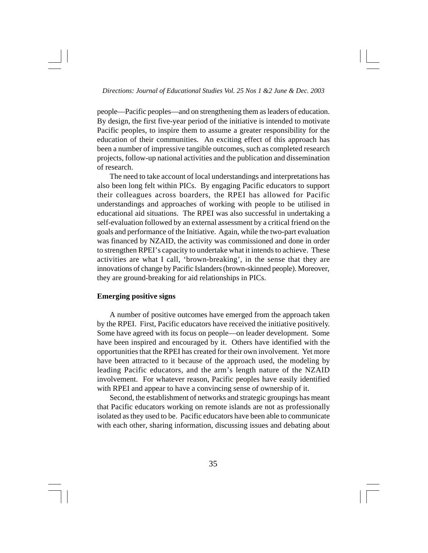people—Pacific peoples—and on strengthening them as leaders of education. By design, the first five-year period of the initiative is intended to motivate Pacific peoples, to inspire them to assume a greater responsibility for the education of their communities. An exciting effect of this approach has been a number of impressive tangible outcomes, such as completed research projects, follow-up national activities and the publication and dissemination of research.

The need to take account of local understandings and interpretations has also been long felt within PICs. By engaging Pacific educators to support their colleagues across boarders, the RPEI has allowed for Pacific understandings and approaches of working with people to be utilised in educational aid situations. The RPEI was also successful in undertaking a self-evaluation followed by an external assessment by a critical friend on the goals and performance of the Initiative. Again, while the two-part evaluation was financed by NZAID, the activity was commissioned and done in order to strengthen RPEI's capacity to undertake what it intends to achieve. These activities are what I call, 'brown-breaking', in the sense that they are innovations of change by Pacific Islanders (brown-skinned people). Moreover, they are ground-breaking for aid relationships in PICs.

# **Emerging positive signs**

A number of positive outcomes have emerged from the approach taken by the RPEI. First, Pacific educators have received the initiative positively. Some have agreed with its focus on people—on leader development. Some have been inspired and encouraged by it. Others have identified with the opportunities that the RPEI has created for their own involvement. Yet more have been attracted to it because of the approach used, the modeling by leading Pacific educators, and the arm's length nature of the NZAID involvement. For whatever reason, Pacific peoples have easily identified with RPEI and appear to have a convincing sense of ownership of it.

Second, the establishment of networks and strategic groupings has meant that Pacific educators working on remote islands are not as professionally isolated as they used to be. Pacific educators have been able to communicate with each other, sharing information, discussing issues and debating about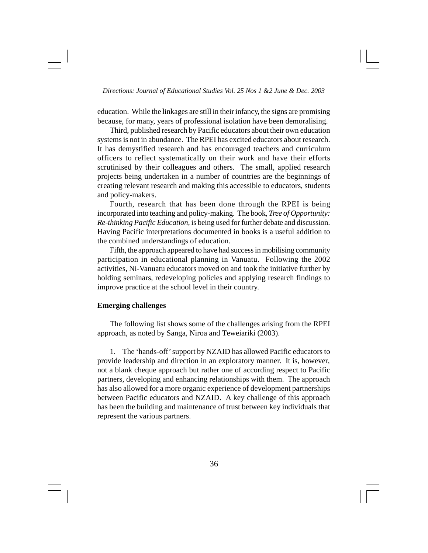education. While the linkages are still in their infancy, the signs are promising because, for many, years of professional isolation have been demoralising.

Third, published research by Pacific educators about their own education systems is not in abundance. The RPEI has excited educators about research. It has demystified research and has encouraged teachers and curriculum officers to reflect systematically on their work and have their efforts scrutinised by their colleagues and others. The small, applied research projects being undertaken in a number of countries are the beginnings of creating relevant research and making this accessible to educators, students and policy-makers.

Fourth, research that has been done through the RPEI is being incorporated into teaching and policy-making. The book, *Tree of Opportunity: Re-thinking Pacific Education,* is being used for further debate and discussion. Having Pacific interpretations documented in books is a useful addition to the combined understandings of education.

Fifth, the approach appeared to have had success in mobilising community participation in educational planning in Vanuatu. Following the 2002 activities, Ni-Vanuatu educators moved on and took the initiative further by holding seminars, redeveloping policies and applying research findings to improve practice at the school level in their country.

#### **Emerging challenges**

The following list shows some of the challenges arising from the RPEI approach, as noted by Sanga, Niroa and Teweiariki (2003).

1. The 'hands-off' support by NZAID has allowed Pacific educators to provide leadership and direction in an exploratory manner. It is, however, not a blank cheque approach but rather one of according respect to Pacific partners, developing and enhancing relationships with them. The approach has also allowed for a more organic experience of development partnerships between Pacific educators and NZAID. A key challenge of this approach has been the building and maintenance of trust between key individuals that represent the various partners.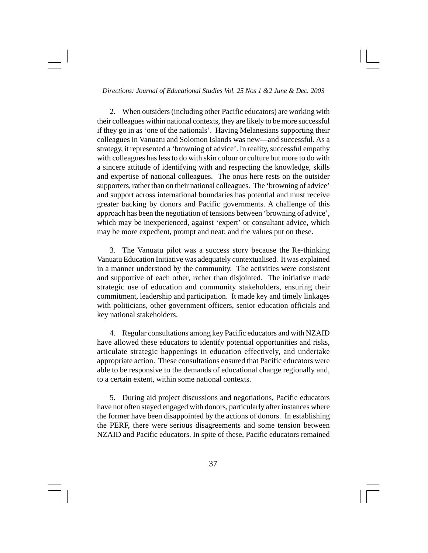2. When outsiders (including other Pacific educators) are working with their colleagues within national contexts, they are likely to be more successful if they go in as 'one of the nationals'. Having Melanesians supporting their colleagues in Vanuatu and Solomon Islands was new—and successful. As a strategy, it represented a 'browning of advice'. In reality, successful empathy with colleagues has less to do with skin colour or culture but more to do with a sincere attitude of identifying with and respecting the knowledge, skills and expertise of national colleagues. The onus here rests on the outsider supporters, rather than on their national colleagues. The 'browning of advice' and support across international boundaries has potential and must receive greater backing by donors and Pacific governments. A challenge of this approach has been the negotiation of tensions between 'browning of advice', which may be inexperienced, against 'expert' or consultant advice, which may be more expedient, prompt and neat; and the values put on these.

3. The Vanuatu pilot was a success story because the Re-thinking Vanuatu Education Initiative was adequately contextualised. It was explained in a manner understood by the community. The activities were consistent and supportive of each other, rather than disjointed. The initiative made strategic use of education and community stakeholders, ensuring their commitment, leadership and participation. It made key and timely linkages with politicians, other government officers, senior education officials and key national stakeholders.

4. Regular consultations among key Pacific educators and with NZAID have allowed these educators to identify potential opportunities and risks, articulate strategic happenings in education effectively, and undertake appropriate action. These consultations ensured that Pacific educators were able to be responsive to the demands of educational change regionally and, to a certain extent, within some national contexts.

5. During aid project discussions and negotiations, Pacific educators have not often stayed engaged with donors, particularly after instances where the former have been disappointed by the actions of donors. In establishing the PERF, there were serious disagreements and some tension between NZAID and Pacific educators. In spite of these, Pacific educators remained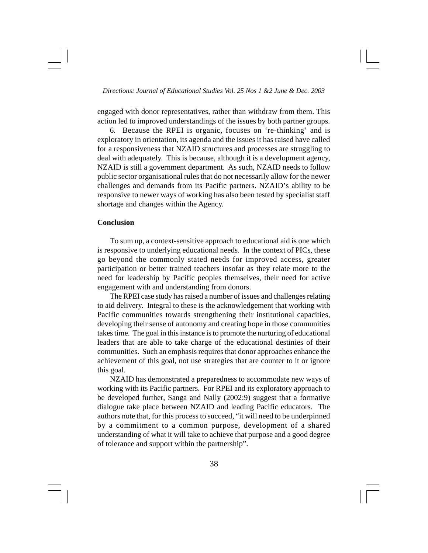engaged with donor representatives, rather than withdraw from them. This action led to improved understandings of the issues by both partner groups.

6. Because the RPEI is organic, focuses on 're-thinking' and is exploratory in orientation, its agenda and the issues it has raised have called for a responsiveness that NZAID structures and processes are struggling to deal with adequately. This is because, although it is a development agency, NZAID is still a government department. As such, NZAID needs to follow public sector organisational rules that do not necessarily allow for the newer challenges and demands from its Pacific partners. NZAID's ability to be responsive to newer ways of working has also been tested by specialist staff shortage and changes within the Agency.

# **Conclusion**

To sum up, a context-sensitive approach to educational aid is one which is responsive to underlying educational needs. In the context of PICs, these go beyond the commonly stated needs for improved access, greater participation or better trained teachers insofar as they relate more to the need for leadership by Pacific peoples themselves, their need for active engagement with and understanding from donors.

The RPEI case study has raised a number of issues and challenges relating to aid delivery. Integral to these is the acknowledgement that working with Pacific communities towards strengthening their institutional capacities, developing their sense of autonomy and creating hope in those communities takes time. The goal in this instance is to promote the nurturing of educational leaders that are able to take charge of the educational destinies of their communities. Such an emphasis requires that donor approaches enhance the achievement of this goal, not use strategies that are counter to it or ignore this goal.

NZAID has demonstrated a preparedness to accommodate new ways of working with its Pacific partners. For RPEI and its exploratory approach to be developed further, Sanga and Nally (2002:9) suggest that a formative dialogue take place between NZAID and leading Pacific educators. The authors note that, for this process to succeed, "it will need to be underpinned by a commitment to a common purpose, development of a shared understanding of what it will take to achieve that purpose and a good degree of tolerance and support within the partnership".